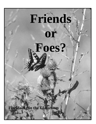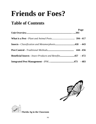# **Friends or Foes?**

# **Table of Contents**

|                                                                    | Page |
|--------------------------------------------------------------------|------|
|                                                                    |      |
| <b>Insects</b> - <i>Classification and Metamorphosis</i> 418 - 443 |      |
|                                                                    |      |
| <b>Beneficial Insects - Insect Products and Benefits457 - 472</b>  |      |
|                                                                    |      |





**Florida Ag in the Classroom**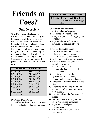# **Friends or Foes?**

### **Unit Overview**

**Unit Description:** Pests can be harmful to the agricultural industry and humans. One of those pests, insects, can be either harmful or beneficial. Students will learn both beneficial and harmful interactions that humans and insects have. Students will learn about the gradual or complete metamorphosis that make up insects' life cycle. They will also learn about Integrated Pest Management or the minimization of pesticide use to control harmful risks to crops.

| <b>Sunshine State Standards:</b> |                   |  |  |  |
|----------------------------------|-------------------|--|--|--|
| LA.A.2.3.1                       | MA.A.3.3.2        |  |  |  |
| LA.A.2.3.5                       | <b>MA.A.3.3.3</b> |  |  |  |
| LA.B.1.3.1                       | <b>MA.B.3.3.1</b> |  |  |  |
| LA.B.2.3.4                       | <b>MA.D.1.3.2</b> |  |  |  |
| LA.E.1.3.3                       | <b>MA.E.1.3.1</b> |  |  |  |
| LA.E.1.3.4                       | <b>SS.A.1.3.1</b> |  |  |  |
| <b>SC.F.1.3.1</b>                | SS.A.1.3.2        |  |  |  |
| <b>SC.F.1.3.7</b>                | SS.A.2.3.3        |  |  |  |
| <b>SC.G.1.3.3</b>                | SS.A.3.3.3        |  |  |  |
| <b>SC.G.1.3.4</b>                |                   |  |  |  |

#### **Pre-Tests/Post-Tests:**

Several lessons have pre- and post-tests for your utilization, where appropriate.

#### **Grade Levels - Middle School**

**Subjects - Science, Social Studies, Mathematics, Language Arts**

#### **Objectives:** The students will:

- 1. define and describe pests.
- 2. describe pest categories and categorize pests into the appropriate category.
- 3. explore folklore and arts as it involves one segment of pests, insects.
- 4. use the Internet to obtain information about pests and their influence on human history, beneficial insects, pest control.
- 5. collect and identify various insects.
- 6. differentiate between gradual and complete metamorphosis.
- 7. determine the type of metamorphosis their collected insects undergo.
- 8. identify insects harmful to agricultural crops, animals, and humans and identify pest damage.
- 9. assess the severity of pests in a crop field.
- 10. determine the type and the amount of pest control to use to minimize pest damage.
- 11. identify and describe five beneficial insects.
- 12. read about and answer questions about Africanized honeybees.
- 13. explain integrated pest management.
- 14. discuss alternative pest control techniques.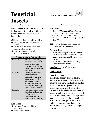# **Beneficial Florida Ag in the Classroom**



# **Insects**

**Brief Description**: This lesson will further familiarize students with the role of beneficial insects in daily human life.

#### **Objectives:** Students will be able to:

- $\bullet$  identify and describe five beneficial insects.
- **2** use the Internet to obtain information about beneficial insects.
- $\bullet$  read and answer questions about Africanized honeybees.

#### **Sunshine State Standards:**

| SC.F.1.3.1 | understands that living    |
|------------|----------------------------|
|            | things are composed of     |
|            | major systems that         |
|            | function in reproduction,  |
|            | growth, maintenance, and   |
|            | regulation.                |
| LA.A.2.3.5 | locates, organizes and     |
|            | interprets written         |
|            | information for a variety  |
|            | of purposes, including     |
|            | classroom research,        |
|            | collaborative decision     |
|            | making and performing a    |
|            | school or real-world task. |
| LA.B.2.3.4 | uses electronic technology |
|            | including databases and    |
|            | software to gather         |
|            | information and com-       |
|            | municate new knowledge.    |
|            |                            |

#### **Life Skills:**

- **O** Acquiring, Analyzing and Using Information
- <sup>2</sup> Understanding Systems

#### *Language Arts, Science**Friends or Foes? - Lesson #4*

#### **Materials:**

- Copies of *Africanized Honey Bees* and *Reading for Content* question pages
- Computers with access to the Internet
- Copies of *Insect Pollinators of Cultivated Crop Plants*

**Time:** three, 45 minute class periods, plus time for Internet research

#### **Preparation:**

- Make copies of *Africanized Honey Bees* and *Reading for Content* question pages.
- Arrange for computers with access to the Internet.
- Make copies of *Insect Pollinators of Cultivated Crop Plants.*

#### **Vocabulary:** beneficial insects

#### **Background:**

#### **Beneficial Insects:**

Insects can directly provide several products we use in our daily lives. Silk from the silkworm, shellac from the lac scale, butterflies for jewelry, honey from honeybees, and dye from the cochineal scale. These are examples of insects which provide a primary benefit to man. Moreover, insects also provide many secondary or indirect benefits to man. For example, pollination of fruit and nut crops, biocontrol agents of weeds and insects, and as scavengers of carrion.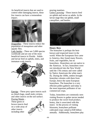As beneficial insects that are used to control other damaging insects, these few insects can have a tremendous impact.



Dragonflies - These insects reduce the population of mosquitoes and other aquatic flies.

Lady beetles - There are 5,000 species worldwide and are one of the most beneficial insects in Florida. Adults and larvae feed on aphids, mites, and immature scale insects.



Earwigs - These prey upon insects such as chinch bugs, small mole crickets, and other insects on the soil surface.

Praying Mantis - These green or brown insects feed on a wide array of other insects including other



praying mantises.

Green Lacewing - These insects feed on aphids and nectar as adults. In the larvae stage they eat aphids, small caterpillars, and beetles.



#### **Honey Bees**

The honeybee is perhaps the bestknown and respected insect in the world. When the Europeans first came to America, they found many flowers, fruits, and vegetables, but no honeybees*.* Honeybees are not native to the Americas. In fact, honeybees were not introduced into the New World until the 17th century and were called by Native Americans the white man's fly. During the 1600s, settlers brought honeybee colonies with them from Europe, hence the name European honeybees. The honeybee is a very efficient pollen gatherer and today is the most important pollinator of our commercial crops.

Today, honeybees are commonly seen visiting flowers to gather nectar needed to produce the sweet food product, honey, that is associated with this insect. In the process of visiting blossoms, honeybees pollinate cultivated crops valued at \$30 billion annually. Additionally, honeybees play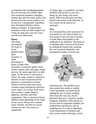an important role in pollinating plants that are necessary for wildlife. Bees have numerous predators, including humans that take the honey, pollen, and beeswax that the colony produces for its survival. Consequently, honeybees have developed effective colony defense strategies. If unprovoked, honeybees rarely use their stingers; but if they do sting, they only do it once and die soon afterwards.

#### **Honey**

The major raw material for honey is nectar gathered from plant nectaries. A small percentage of



honey is made from honeydew secreted by aphids. Most nectars contain water and sugar, mainly sucrose; the same sugar that is in table sugar. As the nectar is converted to honey, the water content is reduced to between 16 and 19 percent and the glucose is converted by invertase mainly to fructose (the most sweet common sugar) and glucose (the least sweet sugar, corn syrup). Each nectar also contains a unique blend of pigments, nutrients, and other components. This is what gives honey different tastes depending on the major nectar source. Honey also contains many vitamins, but often in concentrations too low to be used as a supplement.

As honey ages, it crystallizes; you have probably noticed this in your own honey jar. But, honey very rarely spoils; 3000-year-old honey has been found in the tombs of the pharaohs. In fact, honey can be used as an antiseptic.

#### **Wax**

It is estimated that a bee consumes 6 to 10 pounds (3 to 4.5 kg) of honey for each pound of the wax that it secretes in small flakes from glands on the underside of its abdomen. The beeswax is obtained, after removal of the honey, by melting the honeycomb, straining the wax to remove impurities, and pressing the residue to extract any



remaining wax. The purified wax is then poured into molds to solidify. Color and quality are preserved by melting the wax in water, avoiding direct heat; the wax may also be bleached. Beeswax is used for candles (religious ordinances often specify its use for church ceremonial candles), for artificial fruit and flowers, and for modeling wax. It is also an ingredient in the manufacture of furniture and floor waxes, leather dressings, waxed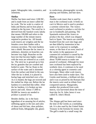paper, lithographic inks, cosmetics, and ointments.

#### **Shellac**

Shellac has been used since 1200 BC, and is made from an insect called the lac scale. The lac scale is a native of India and Burma and its host plant is related to the fig trees. The word lac is derived from the Sanskrit word, laksha that means 100,000 and refers to the large number of the minute insects required to produce lac. All female scale insects are wingless and the lac females cover their bodies with a resinous secretion. The resin hardens into a shield. Because the lac insect is sedentary, densities on branches can become very high. Branches on the host tree that become highly coated with the resin are referred to as a stick lac. The stick lac is ground up to free the lac granules that are crushed and boiled in water. The lac floats to the surface of the water and is skimmed from the surface and dried in the sun. After the lac is dried, it is placed in burlap bags and stretched over a fire. As it is heated, the bags are twisted and the melted lac drips out. Before the lac hardens it is stretched like toffee. After the lac hardens, it is broken up into pieces and sold. About 17,000 to 90,000 lac insects are needed to produce a pound of lac.

Besides shellac, lac is the basic ingredient of an amazing list of articles; stiffening agents in the toes and soles of shoes and felt hats, shoe polishes, artificial fruits, lithographic ink, glazes

in confections, phonographic records, playing card finishes, and hair dyes.

#### **Dyes**

Another scale insect that is used by man is the cochineal scale. It feeds on cacti in Mexico and is used to produce a carmine colored dye. The Aztecs used cochineal to produce a red dye for use in foodstuffs and painting. The Spaniards enslaved the Aztecs to produce the dye, which was shipped back to Spain. The insects are carefully brushed from the cacti into bags and are then killed by immersion in hot water or by exposure to sunlight, steam, or the heat of an oven; much of the variety in the appearance of commercial cochineal is caused by the differing modes of treatment. It takes about 70,000 insects to make one pound of cochineal. Although for most uses cochineal has been replaced by synthetic dyes, it continues to be used as a coloring agent in cosmetics and beverages. Many other scale insects have also been used to make dyes. The Greeks used kermes, a brilliant red dye, and it was so prized by the Romans that the insects were used as tribute from conquered nations. Margarodes, another dye produced from scale insects, was harvested about the time of feast day for St. John; hence it was called St. John's Blood.

#### **Ink**

The Aleppo gall has been used since the time of the Greeks as a nonfading ink. It is also used by the United States Treasury in the formula for money ink. The gall is made by a small wasp; the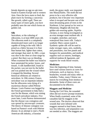female deposits an egg on oak trees found in Eastern Europe and in western Asia. Once the larva starts to feed, the plant reacts by forming a cancerous like growth, called a gall. There are many types of insect galls, you have probably seen the one which forms on golden rod.

#### **Silk**

Sericulture, or the culturing of silkworms, is at least 4000 years old. The silkworm moth is a completely domesticated insect and is no longer capable of living in the wild. Silk is prized as a fabric because it is finer than human hair, lighter than cotton, and stronger than steel. In 1881, a man was shot in the chest at close range by a pistol. But there was no bleeding. When examined the bullet was found to have penetrated his jacket, bones, and tissues. A silk handkerchief, found in the pocket, was not torn by the bullet and was pushed into the wound where it stopped the bleeding. Several historical offshoots are related to sericulture. In 19th century France, sericulture was an important industry but the silkworms were dying of a mysterious disease called Pebrine disease. Louis Pasteur was begged by the French government to help find a cure for the disease, which was ruining the French sericulture industry. Five years later, Louis Pasteur demonstrated that the disease was contagious and was spread by microscopic creatures. The theory of disease contagion was based on Pasteur's work with Pebrine disease. In an attempt to start a North American silk industry, a Eurasian

moth, the gypsy moth, was imported into Massachuetts. The moth did not prove to be a very effective silk producer, but it became very important when it escaped and became one of the most devastating pests of trees in the Northeast. It has spread as far west as Minnesota. Dragline silk from the golden orb-weaving spider, *Nephila clavipes*, is now being investigated as an even stronger more resilient silk. It is tougher, stretchier, and more waterproof than insect silk. Today's synthetic fibers cannot match it. Synthetic spider silk will be used to make stronger ropes, nets, seatbelts, and parachutes, rust free panels and bumpers for automobiles, and medical supplies such as sutures, bandages, artificial tendons & ligaments, and supports for weak blood vessels.

#### **Medicines**

Since the beginning of time, humans have used various insects as cures for sicknesses, such as leprosy, fever, headaches, wounds and many other as maladies. Today, many Chinese use insects for everything from tinnitus to dermatitis. Some of these cures are documented to be effective.

#### **Maggots and Medicine**

During the Civil War, the wounded often did not receive prompt treatment. When finally examined, some of the casualties had fly maggots in the wound area. The doctors observed that wounds that were infested with maggots seemed to heal faster, there was less infection, and amputation was not needed as often. The maggots are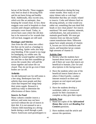larvae of the blowfly. These maggots only feed on dead or decaying flesh and do not harm living and healthy flesh. Additionally, they excrete urea, which acts like an antiseptic, thus keeping the wound clean. In fact, these maggots were used in hospitals to clean wounds until cheaper antibiotics and antiseptics were found. Today, in severe burn cases where the old skin has to be removed or for wounds that will not heal, maggots are still used.

#### **Bandages and Stitches**

Ants from the silk cotton tree collect lint that can be used as a bandage to stop bleeding. Spider webs also help stop bleeding. If the wound is too large for bandaging, try soldier ants. By holding the wound together and letting the ants bite so that their mandibles go across the wound, they will pull the tissue together and suture the cut closed. They do not let go even if their bodies are cut off.

#### **Arthritis**

An old-fashioned cure for stiff joints is a bee sting. Beekeepers have less arthritis than most people and they claim that frequent bee stings keep their joints supple. Research is underway today to determine the effectiveness of these claims.

#### **Insects As Food**

Many cultures consider insects a delicacy and some may not have survived without the use of insects in their diet. It is not unusual to see a Chinese child munching on a diving beetle during a stroll through a park. Native Americans used grasshoppers to sustain themselves during the long winter months. How many of you enjoy lobster tails or crab legs? Remember that they are closely related to insects. Crabs and lobsters feed on decaying animals, so what would you rather eat, something that eats dead fish heads or nice clean plants? Are insects nutritious? We need vitamins, minerals, carbohydrates, fats and proteins to maintain good health. We must get vitamins from our diet,our bodies cannot manufacture them. Silkworm pupae have ample amounts of vitamin A, locusts are rich in riboflavin and niacin, and honeybee larvae contain high amounts of vitamin D.

#### **Activity One:**

- 1. Review what the students have learned about insects as pests and ask if there are ways that insects are beneficial to humans. *(See list and descriptions in the background.)*
- 2. Have the students select one of the beneficial insects listed above or others if they'd prefer, conduct Internet research on them and prepare an oral report and poster project on one.
- 3. Have the students develop a worksheet, table or crossword puzzle for their classmates to complete as they give their report.

#### **Activity Two:**

- 1. Hand out copies of the *Africanized Honey Bee* article and *Reading For Content* questions.
- 2. Have students read the article and answer the questions.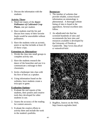3. Discuss the information with the students.

#### **Activity Three:**

- 1. Hand out copies of the *Insect Pollinators of Cultivated Crop Plants*, one per student.
- 2. Have students read the list and discuss how many of their favorite foods would be unavailable without pollinators.
- 3. Have the students write an acrostic, poem or rap that includes at least 20 of these crops.

#### **Extensions or Alternatives:**

- 1. Divide the class into small groups to complete activity one.
- 2. Have the students research the dance of the honeybee and use it to communicate a message to their classmates.
- 3. Invite a beekeeper into class with his hive of bees as a speaker.
- 4. Using information found on the websites, have students create a tivia quiz or game.

#### **Evaluation Options:**

- 1. Evaluate the oral reports of the students, their posters and creative tools they developed for other students to use.
- 2. Assess the accuracy of the reading for content answers.
- 3. Evaluate the creative efforts in activity three and include the work in the student's portfolio.

#### **Resources:**

- 1. The number of websites that provide reliable, science-based information on entomology is phenomenal. A thorough website listing of sites is found in the appendices. Several excellent sites follow.
- 2. An adjudicated site that has screened hundreds of sites and recommends the best sites and resources available is developed by the University of Florida at Gainesville. http://www.ifas.ufl.ed u/~entweb/uf-bob/.



3. BugBios, Insects on the Web, http://insects.org/index.html.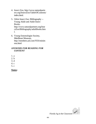- 4. Insect Zoo, http://www.naturalpartn ers.org/InsectZoo/TableOfContents/ index.html.
- 5. Orkin Insect Zoo: Bibliography -- Young Adult and Adult Insect Books. http://www.naturalpartners.org/Inse ctZoo/Bibliography/adultBooks.htm l.
- 6. Young Entomologist Society, MiniBeast Museum, http://members.aol.com/YES/minim enu.html

#### *ANSWERS FOR READING FOR CONTENT*

1. a

- 2. b
- 3. d
- 4. c
- 5. c

#### **Notes:**



Florida Ag in the Classroom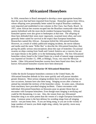# **Africanized Honeybees**

In 1956, researchers in Brazil attempted to develop a more appropriate honeybee than the races that had been imported from Europe. Honeybee queens from Africa, whose offspring were presumably better suited for tropical Brazilian conditions, were imported and established in test colonies in Rio Claro, Sao Paulo, Brazil. In 1957, some African bee swarms escaped into the Brazilian countryside where their queens hybridized with the more docile resident European honeybees. African honeybee queens were also given to beekeepers at that time. The offspring of these bees defended their nests more vigorously, swarmed more often, and were generally better suited for survival in the tropics than European honeybees. Researchers named this African - European hybrid the Africanized honeybee. However, as a result of widely publicized stinging incidents, the movie industry and media used the name "Killer Bee" to describe the Africanized honeybee, thus giving the public serious misconceptions about this type of honeybee. Occasional swarms on ships coming from South and Central America are a concern, but are not major threats to the public or to the beekeeping industry. The first Africanized honeybee colony found in the United States (as a result of natural range expansion) was reported on October 15, 1990, at Hildago, Texas, very near the Mexican border. Other Africanized honeybee swarms have been found since then, but all known Africanized honeybee swarms have been destroyed.

#### **Defensive Behavior Of Africanized Honeybees**

Unlike the docile European honeybees common in the United States, the Africanized honeybee defends its hive more quickly and will pursue intruders greater distances. Most serious stinging incidents have involved animals; but, on rare occasions, humans have also been stung. Stinging occurs after a human or animal has intruded the territory of the honeybee colony. In some cases, vibrations from machinery have provoked stinging incidents. Chance encounters with individual Africanized honeybees on blossoms pose no greater threat than an encounter with European honeybees. Even though mass stinging is terrifying and could be life threatening, it is rare. Also, the venom from one Africanized honeybee sting is no more potent than the venom of a single European honeybee's sting. Common sense is the best defense for avoiding stings from all stinging insects - not just honey bees. If you are being stung, or you are in the vicinity of large numbers of insects you think might sting, calmly, but quickly, move away from the area.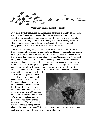#### **Other Africanized Honeybee Traits**

In spite of its "big" reputation, the Africanized honeybee is actually smaller than the European honeybee. However, the difference is not obvious. For identification, special techniques must be used. Beekeepers in areas recently Africanized commonly complain that honey yields have dropped precipitously. However, after developing different management schemes over several years, honey yields in Africanized areas have recovered somewhat.

The Africanized honeybee produces swarms more often than the European honeybee currently found in the United States. This is due in part to their shorter development time and the propensity to use resources to rear more bees, rather than to store their resources for periods of shortage. Consequently, Africanized honeybees sometimes gain a population advantage over European honeybees. Africanized honeybees frequently construct nests in exposed areas that would rarely be selected by European honeybees. However, the higher frequency of exposed nests could be because the preferred sites are occupied. Since these bees are well suited for life in warm climates, there is reason to believe that the warmer

states will have to contend with feral Africanized honeybee establishment first. However, due to potential encounters with European honeybees in great numbers, the Africanized honeybee could become further hybridized. In the future, even honeybees in northern states may show some Africanized honeybee traits. Both European honeybees and Africanized honeybees require pollen collected from plants as a protein source. The Africanized honeybees' unique manageability



characteristics concern many U.S. beekeepers who move thousands of colonies each season for crop pollination and honey production.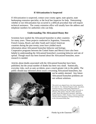#### **If Africanization Is Suspected**

If Africanization is suspected, contact your county agent, state apiarist, state beekeeping extension specialist, or the local bee inspector for help. Determining whether or not Africanization has occurred is a difficult procedure that will require technical assistance. The county extension office will usually have the address and telephone numbers for authorities who can help.

#### **Understanding The Africanized Honey Bee**

Scientists have studied the Africanized honeybee in other countries for many years. These projects conducted in Argentina, Venezuela, French Guiana, Brazil, and other South and Central American countries during the past twenty years have yielded much information about Africanized honeybee behavior and biology.



Cooperative programs between the United States and Mexico have also been helpful in understanding the Africanized honeybee's swarming behavior and rate of spread. Though much has been learned about the Africanized honeybee, more research is needed.

Articles about deaths associated with the Africanized honeybee have been published, but the actual number of deaths has been very small. Statistically, everyday risks, such as auto accidents, pose a much greater risk to the public. The public should stay informed about issues concerning Africanized honeybees, but



not be unduly alarmed. Any future Africanized honeybee problems are not without solutions.

This article was adapted from a fact sheet prepared by Dr. James E. Tew, National Program Leader, Apiculture, Extension Service, United States Department of Agriculture (USDA) and The Ohio State University at Wooster, Ohio and Dr. Anita M. Collins, Research Leader, Honey Bee Research Laboratory, Agriculture Research Service, USDA, Weslaco, Texas in cooperation with the USDA Interagency Technical Working Group on the Africanized Honey Bee.



Florida Ag in the Classroom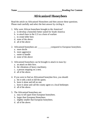## **Africanized Honeybees**

Read the article on Africanized Honeybees and then answer these questions. Please read carefully and select the best answer by circling it.

- 1. Why were African honeybees brought to the Americas?
	- a. to develop a honeybee better suited for South America
	- b. to attach bees in the U.S as a form of warfare
	- c. to create killer bees
	- d. none of the above
	- d. all of the above
- 2. Africanized honeybees are compared to European honeybees.
	- a. more docile
	- b. more aggressive
	- c. easier to handle
	- d. none of the above
- 3. Africanized honeybees can be brought to attack in mass by:
	- a. an attack on their hive.
	- b. the vibrations of heavy machinery.
	- c. a person stepping on a nest.
	- d. all of the above.
- 4. If you were to find an Africanized honeybee hive, you should:
	- a. hit it with a stick to kill the queen.
	- b. leave it alone and tell no one.
	- c. leave it alone and call the county agent or a local beekeeper.
	- d. all of the above.
- 5. The Africanized honeybees are:
	- a. easy to tell apart from European honeybees.
	- b. larger than European Honeybees.
	- c. slightly smaller that European honeybees.
	- d. all of the above.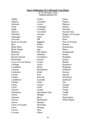#### **Insect Pollination Of Cultivated Crop Plants**

by S.E. McGregor, USDA Originally published 1976

| Alfalfa                | Coffee            | Onion                |
|------------------------|-------------------|----------------------|
| Allspice               | Coriander         | Papaws               |
| Almonds                | Cotton            | Papayas              |
| Anise                  | Crabapple         | Parsley              |
| Apple                  | Cranberry         | Parsnips             |
| Apricot                | Cucumber          | <b>Passion Fruit</b> |
| Artichoke              | Currants          | Peppers of all types |
| Asparagus              | Dates             | Peaches              |
| Avocado                | Dill              | Pears                |
| Beans of all types     | Eggplant          | Peas of all types    |
| <b>Beet</b>            | Endive            | Peanuts              |
| <b>Black Berry</b>     | Fennel            | Persimmons           |
| <b>Black Pepper</b>    | Figs              | Plums                |
| Blueberry              | Flax (linen)      | Pomegranate          |
| <b>Broccoli</b>        | <b>Gherkins</b>   | Prunes               |
| <b>Brussel Sprouts</b> | Gooseberry        | Pumpkins             |
| <b>Buckwheat</b>       | Gourds            | Quince               |
| Cacao (Cocoa beans)    | Grapes            | Radish               |
| Cabbage                | Guava             | Raspberry            |
| Carambola              | Herbs             | Rutabaga             |
| Caraway                | Huckleberry       | Safflower            |
| Cardamon               | Kenaf             | Sesame               |
| Carrots                | Kiwi              | Squash               |
| Cashew                 | Kola nut          | Strawberry           |
| Cauliflower            | Lavender          | Sunflower            |
| Celeriac               | Leeks             | Tea                  |
| Celery                 | Lettuce           | Tomato               |
| Cervil                 | Litchi            | Trefoil              |
| Chayote                | Loquat            | Turnip               |
| Cherimoya              | Macadamia Nuts    | Vanilla              |
| Cherry                 | <b>Mangos</b>     | Vetch                |
| Chestnut               | Mace              | Watermelon           |
| Chicory                | Muskmelon         | <b>White Pepper</b>  |
| Chives                 | <b>Mustard</b>    |                      |
| Citrus of all types    | <b>Nectarines</b> |                      |
| Clove                  | Nutmeg            |                      |
| <b>Clovers</b>         | Okra              |                      |
| Coconut                | Olives            |                      |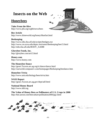# **Insects on the Web**

## **Honeybees**

**Tales From the Hive** http://www.pbs.org/wgbh/nova/bees

**Bee Article**  http://www.slimeworld.org/honey/bbarfart.html

#### **Beekeeping**

http://www.edis.ifas.ufl.edu/scripts/htmlgen.exe http://www.ces.ncsu.edu/depts./ent/notes/Beekeeping/bee15.html http://edis.ifas.ufl.edu/BODY\_AA088

**Glorybee Foods, Inc.** http://glorybee.com/art13.html

**Honey.com** http://www.honey.com

#### **The Honeybee Dance**

http://gears.Tucson.ars.ag.org/ic/dance/dance.html http://ourworld.compuserv.com/homepages/Beekeeping/beedance.htm

#### **Honeybee Trivia**  http://www.umt.edu/biology/bees/trivia.htm

**NASS Report** http://gears.Tucson.ars.ag.gov/dept/adf.html

**National Honey Board** http://www.nhb.org

**The Value of Honey Bees as Pollinators of U.S. Crops in 2000** http://bee.airoot.com/beeculture/pollination2000/pg1.html



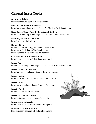# **General Insect Topics**

**Arthropod Trivia** http://members.aol.com/YESedu/trivia.html

**Basic Facts: Benefits of Insects** http://www.natural partners.org/InsectZoo/Student/Basic.benefits.html

#### **Basic Facts: Harm Done by Insects and Spiders** http://www.natural partners.org/InsectZoo/Student/Basic.harm.html

**BugBios, Insects on the Web** http://insects.org/index.html.

#### **Bumble Bees**

http://www.farminfo.org/bees/bumble-bees-m.htm http://www.Cardiff.ac.uk/ibra/bumble.html http://Hercules.users.netlink.co.uk/Bee.html

#### **Classification and Identification**

http://members.aol.com/YESedu/arthrocl.html

#### **Insect Zoo**

http://www.naturalpartners.org/InsectZoo/TableOfContents/index.html.

#### **Insect Goods and Services**

http://www.ndsu.nodak.edu/instruct/brewer/goods.htm

#### **Insect Recipes** http://www.ent.iastate.edu/misc/insectsasfood.html

**Insect Trivia** http://www.ag.auburn.edu/dept/ent/misc/trivia.html

**Insect World**  http://www.inearthlife.net/insects/

**Insects in Chinese Culture** http://ux6.cso.uiuc.edu/~z-huang/insect.html

**Introduction to Insects** http://members.aol.com/YESedu/introbug.html

#### **MINIBEAST FOLKLORE** http://members.aol.com/YESedu/folklore.html